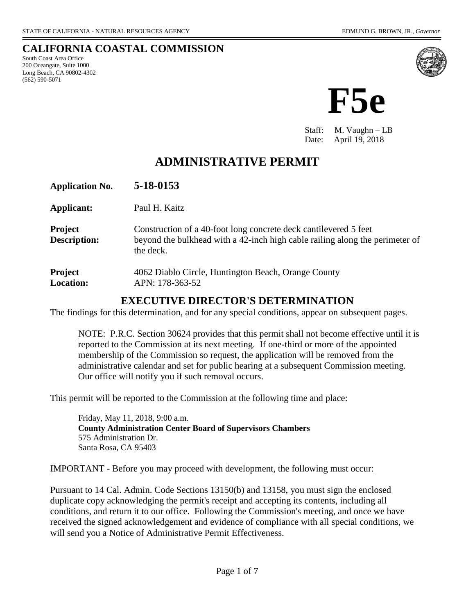(562) 590-5071

**CALIFORNIA COASTAL COMMISSION** South Coast Area Office 200 Oceangate, Suite 1000 Long Beach, CA 90802-4302



Staff: M. Vaughn – LB Date: April 19, 2018

# **ADMINISTRATIVE PERMIT**

| <b>Application No.</b>                | 5-18-0153                                                                                                                                                     |
|---------------------------------------|---------------------------------------------------------------------------------------------------------------------------------------------------------------|
| Applicant:                            | Paul H. Kaitz                                                                                                                                                 |
| <b>Project</b><br><b>Description:</b> | Construction of a 40-foot long concrete deck cantilevered 5 feet<br>beyond the bulkhead with a 42-inch high cable railing along the perimeter of<br>the deck. |
| <b>Project</b><br><b>Location:</b>    | 4062 Diablo Circle, Huntington Beach, Orange County<br>APN: 178-363-52                                                                                        |

# **EXECUTIVE DIRECTOR'S DETERMINATION**

The findings for this determination, and for any special conditions, appear on subsequent pages.

NOTE: P.R.C. Section 30624 provides that this permit shall not become effective until it is reported to the Commission at its next meeting. If one-third or more of the appointed membership of the Commission so request, the application will be removed from the administrative calendar and set for public hearing at a subsequent Commission meeting. Our office will notify you if such removal occurs.

This permit will be reported to the Commission at the following time and place:

 Friday, May 11, 2018, 9:00 a.m. **County Administration Center Board of Supervisors Chambers** 575 Administration Dr. Santa Rosa, CA 95403

#### IMPORTANT - Before you may proceed with development, the following must occur:

Pursuant to 14 Cal. Admin. Code Sections 13150(b) and 13158, you must sign the enclosed duplicate copy acknowledging the permit's receipt and accepting its contents, including all conditions, and return it to our office. Following the Commission's meeting, and once we have received the signed acknowledgement and evidence of compliance with all special conditions, we will send you a Notice of Administrative Permit Effectiveness.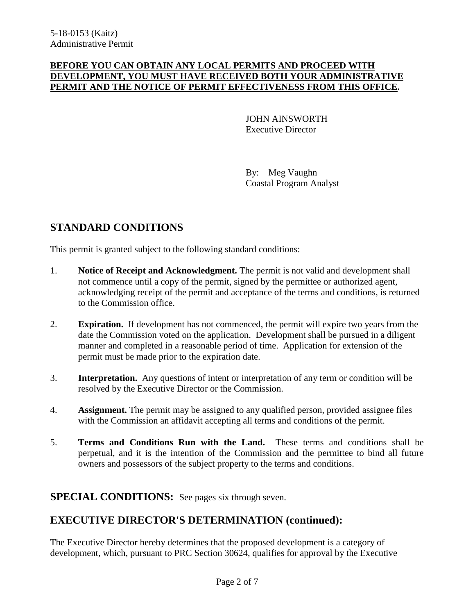#### **BEFORE YOU CAN OBTAIN ANY LOCAL PERMITS AND PROCEED WITH DEVELOPMENT, YOU MUST HAVE RECEIVED BOTH YOUR ADMINISTRATIVE PERMIT AND THE NOTICE OF PERMIT EFFECTIVENESS FROM THIS OFFICE.**

 JOHN AINSWORTH Executive Director

By: Meg Vaughn Coastal Program Analyst

# **STANDARD CONDITIONS**

This permit is granted subject to the following standard conditions:

- 1. **Notice of Receipt and Acknowledgment.** The permit is not valid and development shall not commence until a copy of the permit, signed by the permittee or authorized agent, acknowledging receipt of the permit and acceptance of the terms and conditions, is returned to the Commission office.
- 2. **Expiration.** If development has not commenced, the permit will expire two years from the date the Commission voted on the application. Development shall be pursued in a diligent manner and completed in a reasonable period of time. Application for extension of the permit must be made prior to the expiration date.
- 3. **Interpretation.** Any questions of intent or interpretation of any term or condition will be resolved by the Executive Director or the Commission.
- 4. **Assignment.** The permit may be assigned to any qualified person, provided assignee files with the Commission an affidavit accepting all terms and conditions of the permit.
- 5. **Terms and Conditions Run with the Land.** These terms and conditions shall be perpetual, and it is the intention of the Commission and the permittee to bind all future owners and possessors of the subject property to the terms and conditions.

## **SPECIAL CONDITIONS:** See pages six through seven.

# **EXECUTIVE DIRECTOR'S DETERMINATION (continued):**

The Executive Director hereby determines that the proposed development is a category of development, which, pursuant to PRC Section 30624, qualifies for approval by the Executive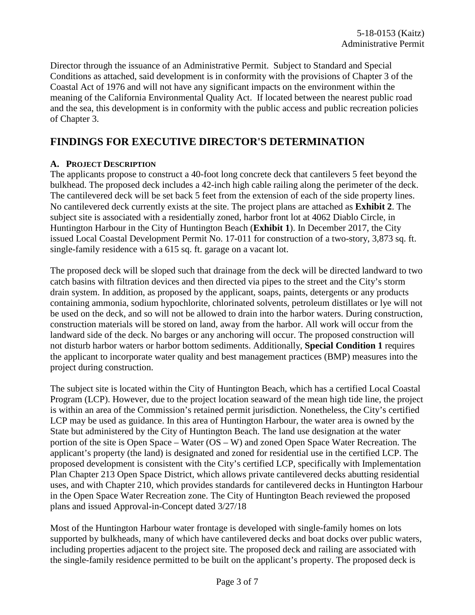Director through the issuance of an Administrative Permit. Subject to Standard and Special Conditions as attached, said development is in conformity with the provisions of Chapter 3 of the Coastal Act of 1976 and will not have any significant impacts on the environment within the meaning of the California Environmental Quality Act. If located between the nearest public road and the sea, this development is in conformity with the public access and public recreation policies of Chapter 3.

# **FINDINGS FOR EXECUTIVE DIRECTOR'S DETERMINATION**

### **A. PROJECT DESCRIPTION**

The applicants propose to construct a 40-foot long concrete deck that cantilevers 5 feet beyond the bulkhead. The proposed deck includes a 42-inch high cable railing along the perimeter of the deck. The cantilevered deck will be set back 5 feet from the extension of each of the side property lines. No cantilevered deck currently exists at the site. The project plans are attached as **Exhibit 2**. The subject site is associated with a residentially zoned, harbor front lot at 4062 Diablo Circle, in Huntington Harbour in the City of Huntington Beach (**Exhibit 1**). In December 2017, the City issued Local Coastal Development Permit No. 17-011 for construction of a two-story, 3,873 sq. ft. single-family residence with a 615 sq. ft. garage on a vacant lot.

The proposed deck will be sloped such that drainage from the deck will be directed landward to two catch basins with filtration devices and then directed via pipes to the street and the City's storm drain system. In addition, as proposed by the applicant, soaps, paints, detergents or any products containing ammonia, sodium hypochlorite, chlorinated solvents, petroleum distillates or lye will not be used on the deck, and so will not be allowed to drain into the harbor waters. During construction, construction materials will be stored on land, away from the harbor. All work will occur from the landward side of the deck. No barges or any anchoring will occur. The proposed construction will not disturb harbor waters or harbor bottom sediments. Additionally, **Special Condition 1** requires the applicant to incorporate water quality and best management practices (BMP) measures into the project during construction.

The subject site is located within the City of Huntington Beach, which has a certified Local Coastal Program (LCP). However, due to the project location seaward of the mean high tide line, the project is within an area of the Commission's retained permit jurisdiction. Nonetheless, the City's certified LCP may be used as guidance. In this area of Huntington Harbour, the water area is owned by the State but administered by the City of Huntington Beach. The land use designation at the water portion of the site is Open Space – Water (OS – W) and zoned Open Space Water Recreation. The applicant's property (the land) is designated and zoned for residential use in the certified LCP. The proposed development is consistent with the City's certified LCP, specifically with Implementation Plan Chapter 213 Open Space District, which allows private cantilevered decks abutting residential uses, and with Chapter 210, which provides standards for cantilevered decks in Huntington Harbour in the Open Space Water Recreation zone. The City of Huntington Beach reviewed the proposed plans and issued Approval-in-Concept dated 3/27/18

Most of the Huntington Harbour water frontage is developed with single-family homes on lots supported by bulkheads, many of which have cantilevered decks and boat docks over public waters, including properties adjacent to the project site. The proposed deck and railing are associated with the single-family residence permitted to be built on the applicant's property. The proposed deck is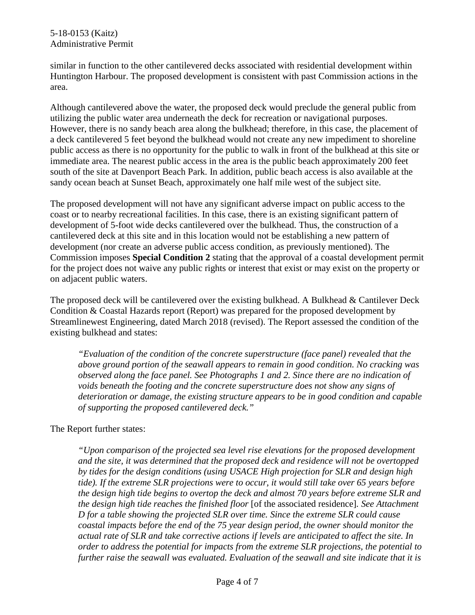similar in function to the other cantilevered decks associated with residential development within Huntington Harbour. The proposed development is consistent with past Commission actions in the area.

Although cantilevered above the water, the proposed deck would preclude the general public from utilizing the public water area underneath the deck for recreation or navigational purposes. However, there is no sandy beach area along the bulkhead; therefore, in this case, the placement of a deck cantilevered 5 feet beyond the bulkhead would not create any new impediment to shoreline public access as there is no opportunity for the public to walk in front of the bulkhead at this site or immediate area. The nearest public access in the area is the public beach approximately 200 feet south of the site at Davenport Beach Park. In addition, public beach access is also available at the sandy ocean beach at Sunset Beach, approximately one half mile west of the subject site.

The proposed development will not have any significant adverse impact on public access to the coast or to nearby recreational facilities. In this case, there is an existing significant pattern of development of 5-foot wide decks cantilevered over the bulkhead. Thus, the construction of a cantilevered deck at this site and in this location would not be establishing a new pattern of development (nor create an adverse public access condition, as previously mentioned). The Commission imposes **Special Condition 2** stating that the approval of a coastal development permit for the project does not waive any public rights or interest that exist or may exist on the property or on adjacent public waters.

The proposed deck will be cantilevered over the existing bulkhead. A Bulkhead & Cantilever Deck Condition & Coastal Hazards report (Report) was prepared for the proposed development by Streamlinewest Engineering, dated March 2018 (revised). The Report assessed the condition of the existing bulkhead and states:

*"Evaluation of the condition of the concrete superstructure (face panel) revealed that the above ground portion of the seawall appears to remain in good condition. No cracking was observed along the face panel. See Photographs 1 and 2. Since there are no indication of voids beneath the footing and the concrete superstructure does not show any signs of deterioration or damage, the existing structure appears to be in good condition and capable of supporting the proposed cantilevered deck."*

The Report further states:

*"Upon comparison of the projected sea level rise elevations for the proposed development and the site, it was determined that the proposed deck and residence will not be overtopped by tides for the design conditions (using USACE High projection for SLR and design high tide). If the extreme SLR projections were to occur, it would still take over 65 years before the design high tide begins to overtop the deck and almost 70 years before extreme SLR and the design high tide reaches the finished floor* [of the associated residence]*. See Attachment D for a table showing the projected SLR over time. Since the extreme SLR could cause coastal impacts before the end of the 75 year design period, the owner should monitor the actual rate of SLR and take corrective actions if levels are anticipated to affect the site. In order to address the potential for impacts from the extreme SLR projections, the potential to further raise the seawall was evaluated. Evaluation of the seawall and site indicate that it is*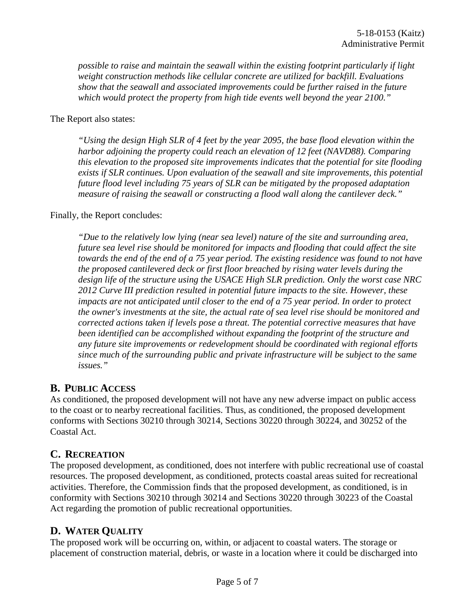*possible to raise and maintain the seawall within the existing footprint particularly if light weight construction methods like cellular concrete are utilized for backfill. Evaluations show that the seawall and associated improvements could be further raised in the future which would protect the property from high tide events well beyond the year 2100."* 

The Report also states:

*"Using the design High SLR of 4 feet by the year 2095, the base flood elevation within the harbor adjoining the property could reach an elevation of 12 feet (NAVD88). Comparing this elevation to the proposed site improvements indicates that the potential for site flooding exists if SLR continues. Upon evaluation of the seawall and site improvements, this potential future flood level including 75 years of SLR can be mitigated by the proposed adaptation measure of raising the seawall or constructing a flood wall along the cantilever deck."*

#### Finally, the Report concludes:

*"Due to the relatively low lying (near sea level) nature of the site and surrounding area, future sea level rise should be monitored for impacts and flooding that could affect the site towards the end of the end of a 75 year period. The existing residence was found to not have the proposed cantilevered deck or first floor breached by rising water levels during the design life of the structure using the USACE High SLR prediction. Only the worst case NRC 2012 Curve III prediction resulted in potential future impacts to the site. However, these impacts are not anticipated until closer to the end of a 75 year period. In order to protect the owner's investments at the site, the actual rate of sea level rise should be monitored and corrected actions taken if levels pose a threat. The potential corrective measures that have been identified can be accomplished without expanding the footprint of the structure and any future site improvements or redevelopment should be coordinated with regional efforts since much of the surrounding public and private infrastructure will be subject to the same issues."*

## **B. PUBLIC ACCESS**

As conditioned, the proposed development will not have any new adverse impact on public access to the coast or to nearby recreational facilities. Thus, as conditioned, the proposed development conforms with Sections 30210 through 30214, Sections 30220 through 30224, and 30252 of the Coastal Act.

# **C. RECREATION**

The proposed development, as conditioned, does not interfere with public recreational use of coastal resources. The proposed development, as conditioned, protects coastal areas suited for recreational activities. Therefore, the Commission finds that the proposed development, as conditioned, is in conformity with Sections 30210 through 30214 and Sections 30220 through 30223 of the Coastal Act regarding the promotion of public recreational opportunities.

# **D. WATER QUALITY**

The proposed work will be occurring on, within, or adjacent to coastal waters. The storage or placement of construction material, debris, or waste in a location where it could be discharged into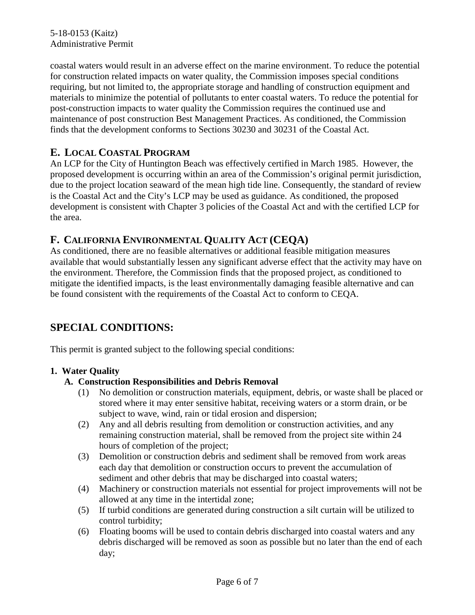coastal waters would result in an adverse effect on the marine environment. To reduce the potential for construction related impacts on water quality, the Commission imposes special conditions requiring, but not limited to, the appropriate storage and handling of construction equipment and materials to minimize the potential of pollutants to enter coastal waters. To reduce the potential for post-construction impacts to water quality the Commission requires the continued use and maintenance of post construction Best Management Practices. As conditioned, the Commission finds that the development conforms to Sections 30230 and 30231 of the Coastal Act.

# **E. LOCAL COASTAL PROGRAM**

An LCP for the City of Huntington Beach was effectively certified in March 1985. However, the proposed development is occurring within an area of the Commission's original permit jurisdiction, due to the project location seaward of the mean high tide line. Consequently, the standard of review is the Coastal Act and the City's LCP may be used as guidance. As conditioned, the proposed development is consistent with Chapter 3 policies of the Coastal Act and with the certified LCP for the area.

# **F. CALIFORNIA ENVIRONMENTAL QUALITY ACT (CEQA)**

As conditioned, there are no feasible alternatives or additional feasible mitigation measures available that would substantially lessen any significant adverse effect that the activity may have on the environment. Therefore, the Commission finds that the proposed project, as conditioned to mitigate the identified impacts, is the least environmentally damaging feasible alternative and can be found consistent with the requirements of the Coastal Act to conform to CEQA.

# **SPECIAL CONDITIONS:**

This permit is granted subject to the following special conditions:

## **1. Water Quality**

## **A. Construction Responsibilities and Debris Removal**

- (1) No demolition or construction materials, equipment, debris, or waste shall be placed or stored where it may enter sensitive habitat, receiving waters or a storm drain, or be subject to wave, wind, rain or tidal erosion and dispersion;
- (2) Any and all debris resulting from demolition or construction activities, and any remaining construction material, shall be removed from the project site within 24 hours of completion of the project;
- (3) Demolition or construction debris and sediment shall be removed from work areas each day that demolition or construction occurs to prevent the accumulation of sediment and other debris that may be discharged into coastal waters;
- (4) Machinery or construction materials not essential for project improvements will not be allowed at any time in the intertidal zone;
- (5) If turbid conditions are generated during construction a silt curtain will be utilized to control turbidity;
- (6) Floating booms will be used to contain debris discharged into coastal waters and any debris discharged will be removed as soon as possible but no later than the end of each day;